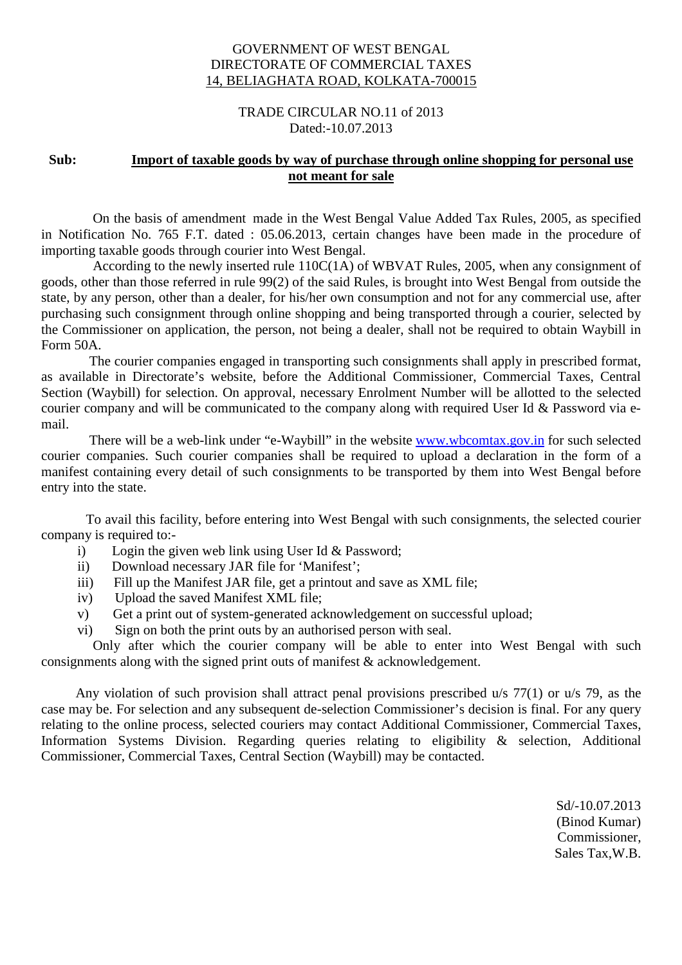## GOVERNMENT OF WEST BENGAL DIRECTORATE OF COMMERCIAL TAXES 14, BELIAGHATA ROAD, KOLKATA-700015

## TRADE CIRCULAR NO.11 of 2013 Dated:-10.07.2013

## **Sub: Import of taxable goods by way of purchase through online shopping for personal use not meant for sale**

 On the basis of amendment made in the West Bengal Value Added Tax Rules, 2005, as specified in Notification No. 765 F.T. dated : 05.06.2013, certain changes have been made in the procedure of importing taxable goods through courier into West Bengal.

 According to the newly inserted rule 110C(1A) of WBVAT Rules, 2005, when any consignment of goods, other than those referred in rule 99(2) of the said Rules, is brought into West Bengal from outside the state, by any person, other than a dealer, for his/her own consumption and not for any commercial use, after purchasing such consignment through online shopping and being transported through a courier, selected by the Commissioner on application, the person, not being a dealer, shall not be required to obtain Waybill in Form 50A.

 The courier companies engaged in transporting such consignments shall apply in prescribed format, as available in Directorate's website, before the Additional Commissioner, Commercial Taxes, Central Section (Waybill) for selection. On approval, necessary Enrolment Number will be allotted to the selected courier company and will be communicated to the company along with required User Id & Password via email.

 There will be a web-link under "e-Waybill" in the website www.wbcomtax.gov.in for such selected courier companies. Such courier companies shall be required to upload a declaration in the form of a manifest containing every detail of such consignments to be transported by them into West Bengal before entry into the state.

 To avail this facility, before entering into West Bengal with such consignments, the selected courier company is required to:-

- i) Login the given web link using User Id & Password;
- ii) Download necessary JAR file for 'Manifest';
- iii) Fill up the Manifest JAR file, get a printout and save as XML file;
- iv) Upload the saved Manifest XML file;
- v) Get a print out of system-generated acknowledgement on successful upload;
- vi) Sign on both the print outs by an authorised person with seal.

 Only after which the courier company will be able to enter into West Bengal with such consignments along with the signed print outs of manifest & acknowledgement.

 Any violation of such provision shall attract penal provisions prescribed u/s 77(1) or u/s 79, as the case may be. For selection and any subsequent de-selection Commissioner's decision is final. For any query relating to the online process, selected couriers may contact Additional Commissioner, Commercial Taxes, Information Systems Division. Regarding queries relating to eligibility & selection, Additional Commissioner, Commercial Taxes, Central Section (Waybill) may be contacted.

> Sd/-10.07.2013 (Binod Kumar) Commissioner, Sales Tax,W.B.